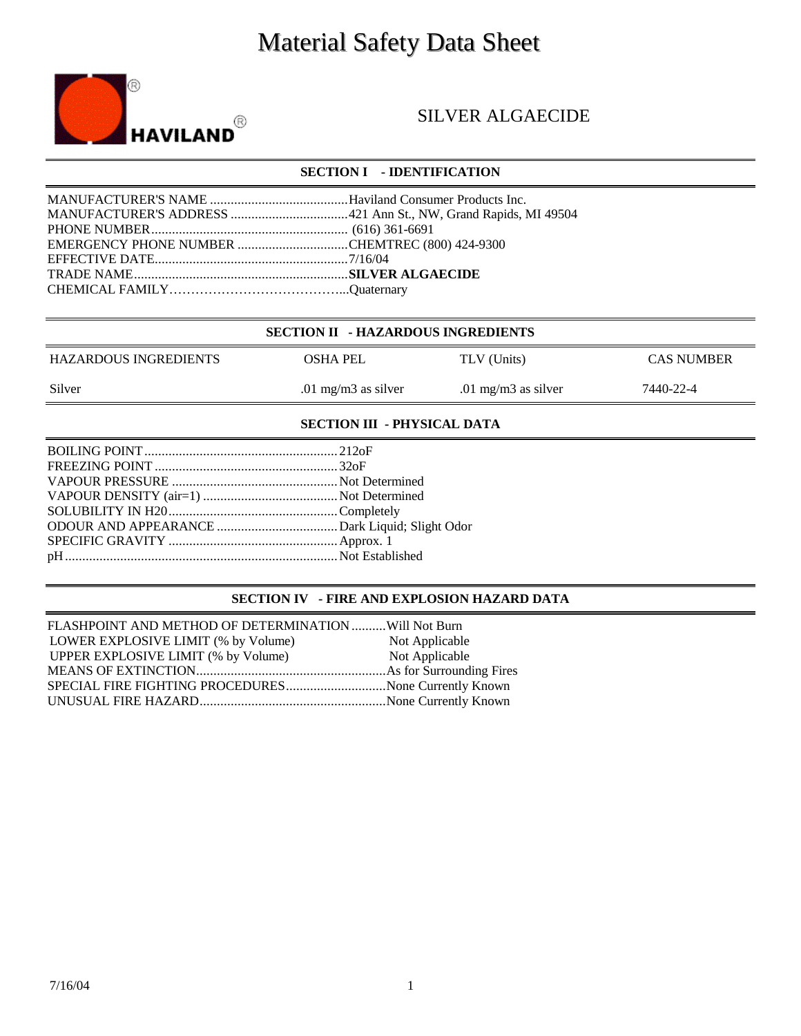# Material Safety Data Sheet



## SILVER ALGAECIDE

### **SECTION I - IDENTIFICATION**

| EMERGENCY PHONE NUMBER CHEMTREC (800) 424-9300 |  |
|------------------------------------------------|--|
|                                                |  |
|                                                |  |
|                                                |  |
|                                                |  |

|  | <b>SECTION II - HAZARDOUS INGREDIENTS</b> |
|--|-------------------------------------------|
|--|-------------------------------------------|

| HAZARDOUS INGREDIENTS | OSHA PEL            | TLV (Units)         | <b>CAS NUMBER</b> |
|-----------------------|---------------------|---------------------|-------------------|
| Silver                | .01 mg/m3 as silver | .01 mg/m3 as silver | 7440-22-4         |

#### **SECTION III - PHYSICAL DATA**

#### **SECTION IV - FIRE AND EXPLOSION HAZARD DATA**

| FLASHPOINT AND METHOD OF DETERMINATION  Will Not Burn |                |
|-------------------------------------------------------|----------------|
| LOWER EXPLOSIVE LIMIT (% by Volume)                   | Not Applicable |
| UPPER EXPLOSIVE LIMIT (% by Volume)                   | Not Applicable |
|                                                       |                |
| SPECIAL FIRE FIGHTING PROCEDURESNone Currently Known  |                |
|                                                       |                |